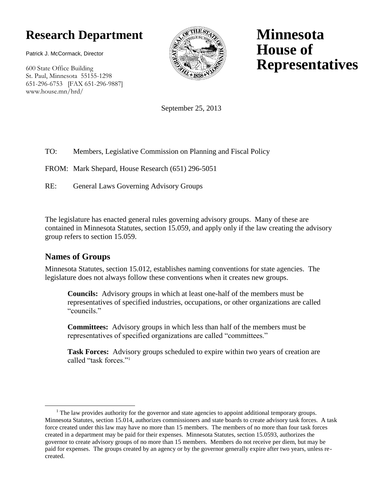# **Research Department**

Patrick J. McCormack, Director

600 State Office Building St. Paul, Minnesota 55155-1298 651-296-6753 [FAX 651-296-9887] www.house.mn/hrd/



**Minnesota House of Representatives**

September 25, 2013

#### TO: Members, Legislative Commission on Planning and Fiscal Policy

FROM: Mark Shepard, House Research (651) 296-5051

RE: General Laws Governing Advisory Groups

The legislature has enacted general rules governing advisory groups. Many of these are contained in Minnesota Statutes, section 15.059, and apply only if the law creating the advisory group refers to section 15.059.

#### **Names of Groups**

 $\overline{a}$ 

Minnesota Statutes, section 15.012, establishes naming conventions for state agencies. The legislature does not always follow these conventions when it creates new groups.

**Councils:** Advisory groups in which at least one-half of the members must be representatives of specified industries, occupations, or other organizations are called "councils."

**Committees:** Advisory groups in which less than half of the members must be representatives of specified organizations are called "committees."

**Task Forces:** Advisory groups scheduled to expire within two years of creation are called "task forces"<sup>1</sup>

<sup>&</sup>lt;sup>1</sup> The law provides authority for the governor and state agencies to appoint additional temporary groups. Minnesota Statutes, section 15.014, authorizes commissioners and state boards to create advisory task forces. A task force created under this law may have no more than 15 members. The members of no more than four task forces created in a department may be paid for their expenses. Minnesota Statutes, section 15.0593, authorizes the governor to create advisory groups of no more than 15 members. Members do not receive per diem, but may be paid for expenses. The groups created by an agency or by the governor generally expire after two years, unless recreated.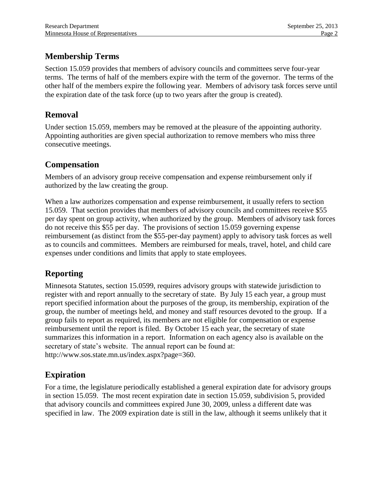### **Membership Terms**

Section 15.059 provides that members of advisory councils and committees serve four-year terms. The terms of half of the members expire with the term of the governor. The terms of the other half of the members expire the following year. Members of advisory task forces serve until the expiration date of the task force (up to two years after the group is created).

### **Removal**

Under section 15.059, members may be removed at the pleasure of the appointing authority. Appointing authorities are given special authorization to remove members who miss three consecutive meetings.

#### **Compensation**

Members of an advisory group receive compensation and expense reimbursement only if authorized by the law creating the group.

When a law authorizes compensation and expense reimbursement, it usually refers to section 15.059. That section provides that members of advisory councils and committees receive \$55 per day spent on group activity, when authorized by the group. Members of advisory task forces do not receive this \$55 per day. The provisions of section 15.059 governing expense reimbursement (as distinct from the \$55-per-day payment) apply to advisory task forces as well as to councils and committees. Members are reimbursed for meals, travel, hotel, and child care expenses under conditions and limits that apply to state employees.

## **Reporting**

Minnesota Statutes, section 15.0599, requires advisory groups with statewide jurisdiction to register with and report annually to the secretary of state. By July 15 each year, a group must report specified information about the purposes of the group, its membership, expiration of the group, the number of meetings held, and money and staff resources devoted to the group. If a group fails to report as required, its members are not eligible for compensation or expense reimbursement until the report is filed. By October 15 each year, the secretary of state summarizes this information in a report. Information on each agency also is available on the secretary of state's website. The annual report can be found at: http://www.sos.state.mn.us/index.aspx?page=360.

## **Expiration**

For a time, the legislature periodically established a general expiration date for advisory groups in section 15.059. The most recent expiration date in section 15.059, subdivision 5, provided that advisory councils and committees expired June 30, 2009, unless a different date was specified in law. The 2009 expiration date is still in the law, although it seems unlikely that it